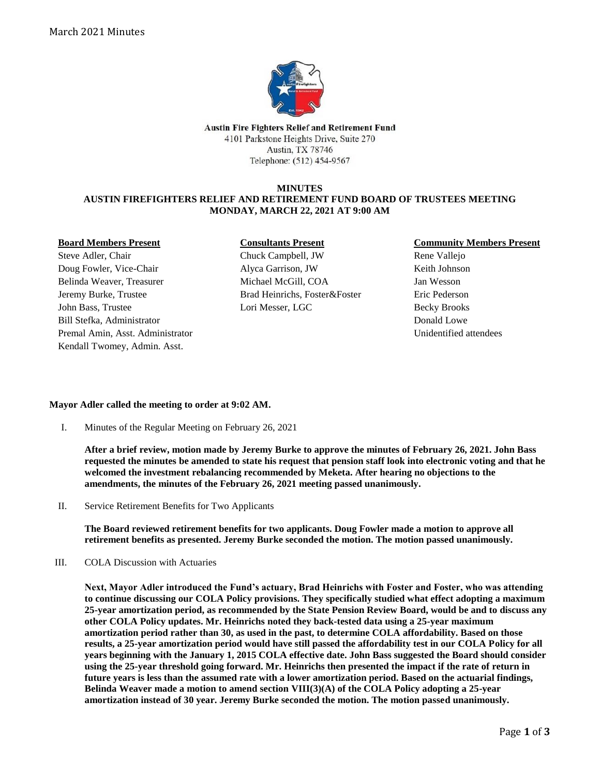

Austin Fire Fighters Relief and Retirement Fund 4101 Parkstone Heights Drive, Suite 270 Austin, TX 78746 Telephone: (512) 454-9567

### **MINUTES**

# **AUSTIN FIREFIGHTERS RELIEF AND RETIREMENT FUND BOARD OF TRUSTEES MEETING MONDAY, MARCH 22, 2021 AT 9:00 AM**

### **Board Members Present**

Steve Adler, Chair Doug Fowler, Vice-Chair Belinda Weaver, Treasurer Jeremy Burke, Trustee John Bass, Trustee Bill Stefka, Administrator Premal Amin, Asst. Administrator Kendall Twomey, Admin. Asst.

### **Consultants Present**

Chuck Campbell, JW Alyca Garrison, JW Michael McGill, COA Brad Heinrichs, Foster&Foster Lori Messer, LGC

# **Community Members Present**

Rene Vallejo Keith Johnson Jan Wesson Eric Pederson Becky Brooks Donald Lowe Unidentified attendees

# **Mayor Adler called the meeting to order at 9:02 AM.**

I. Minutes of the Regular Meeting on February 26, 2021

**After a brief review, motion made by Jeremy Burke to approve the minutes of February 26, 2021. John Bass requested the minutes be amended to state his request that pension staff look into electronic voting and that he welcomed the investment rebalancing recommended by Meketa. After hearing no objections to the amendments, the minutes of the February 26, 2021 meeting passed unanimously.**

II. Service Retirement Benefits for Two Applicants

**The Board reviewed retirement benefits for two applicants. Doug Fowler made a motion to approve all retirement benefits as presented. Jeremy Burke seconded the motion. The motion passed unanimously.**

III. COLA Discussion with Actuaries

**Next, Mayor Adler introduced the Fund's actuary, Brad Heinrichs with Foster and Foster, who was attending to continue discussing our COLA Policy provisions. They specifically studied what effect adopting a maximum 25-year amortization period, as recommended by the State Pension Review Board, would be and to discuss any other COLA Policy updates. Mr. Heinrichs noted they back-tested data using a 25-year maximum amortization period rather than 30, as used in the past, to determine COLA affordability. Based on those results, a 25-year amortization period would have still passed the affordability test in our COLA Policy for all years beginning with the January 1, 2015 COLA effective date. John Bass suggested the Board should consider using the 25-year threshold going forward. Mr. Heinrichs then presented the impact if the rate of return in future years is less than the assumed rate with a lower amortization period. Based on the actuarial findings, Belinda Weaver made a motion to amend section VIII(3)(A) of the COLA Policy adopting a 25-year amortization instead of 30 year. Jeremy Burke seconded the motion. The motion passed unanimously.**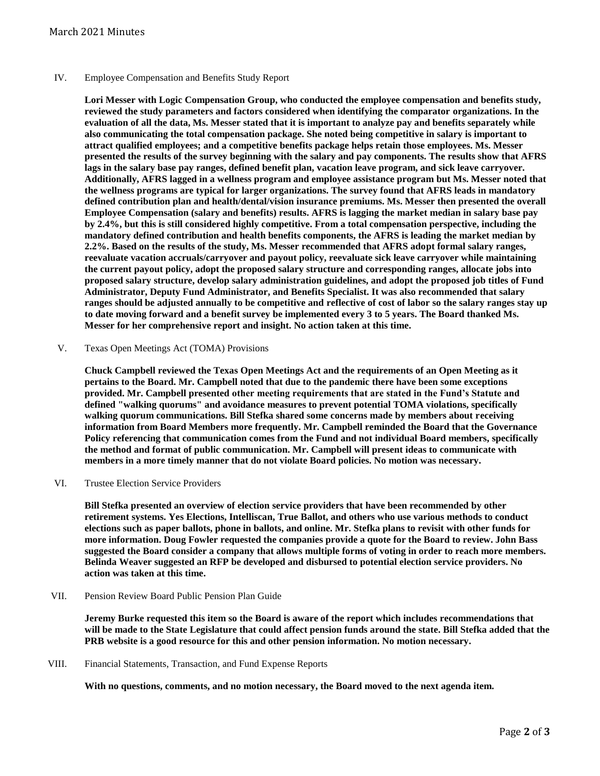### IV. Employee Compensation and Benefits Study Report

**Lori Messer with Logic Compensation Group, who conducted the employee compensation and benefits study, reviewed the study parameters and factors considered when identifying the comparator organizations. In the evaluation of all the data, Ms. Messer stated that it is important to analyze pay and benefits separately while also communicating the total compensation package. She noted being competitive in salary is important to attract qualified employees; and a competitive benefits package helps retain those employees. Ms. Messer presented the results of the survey beginning with the salary and pay components. The results show that AFRS lags in the salary base pay ranges, defined benefit plan, vacation leave program, and sick leave carryover. Additionally, AFRS lagged in a wellness program and employee assistance program but Ms. Messer noted that the wellness programs are typical for larger organizations. The survey found that AFRS leads in mandatory defined contribution plan and health/dental/vision insurance premiums. Ms. Messer then presented the overall Employee Compensation (salary and benefits) results. AFRS is lagging the market median in salary base pay by 2.4%, but this is still considered highly competitive. From a total compensation perspective, including the mandatory defined contribution and health benefits components, the AFRS is leading the market median by 2.2%. Based on the results of the study, Ms. Messer recommended that AFRS adopt formal salary ranges, reevaluate vacation accruals/carryover and payout policy, reevaluate sick leave carryover while maintaining the current payout policy, adopt the proposed salary structure and corresponding ranges, allocate jobs into proposed salary structure, develop salary administration guidelines, and adopt the proposed job titles of Fund Administrator, Deputy Fund Administrator, and Benefits Specialist. It was also recommended that salary ranges should be adjusted annually to be competitive and reflective of cost of labor so the salary ranges stay up to date moving forward and a benefit survey be implemented every 3 to 5 years. The Board thanked Ms. Messer for her comprehensive report and insight. No action taken at this time.**

V. Texas Open Meetings Act (TOMA) Provisions

**Chuck Campbell reviewed the Texas Open Meetings Act and the requirements of an Open Meeting as it pertains to the Board. Mr. Campbell noted that due to the pandemic there have been some exceptions provided. Mr. Campbell presented other meeting requirements that are stated in the Fund's Statute and defined "walking quorums" and avoidance measures to prevent potential TOMA violations, specifically walking quorum communications. Bill Stefka shared some concerns made by members about receiving information from Board Members more frequently. Mr. Campbell reminded the Board that the Governance Policy referencing that communication comes from the Fund and not individual Board members, specifically the method and format of public communication. Mr. Campbell will present ideas to communicate with members in a more timely manner that do not violate Board policies. No motion was necessary.**

VI. Trustee Election Service Providers

**Bill Stefka presented an overview of election service providers that have been recommended by other retirement systems. Yes Elections, Intelliscan, True Ballot, and others who use various methods to conduct elections such as paper ballots, phone in ballots, and online. Mr. Stefka plans to revisit with other funds for more information. Doug Fowler requested the companies provide a quote for the Board to review. John Bass suggested the Board consider a company that allows multiple forms of voting in order to reach more members. Belinda Weaver suggested an RFP be developed and disbursed to potential election service providers. No action was taken at this time.**

VII. Pension Review Board Public Pension Plan Guide

**Jeremy Burke requested this item so the Board is aware of the report which includes recommendations that will be made to the State Legislature that could affect pension funds around the state. Bill Stefka added that the PRB website is a good resource for this and other pension information. No motion necessary.**

VIII. Financial Statements, Transaction, and Fund Expense Reports

**With no questions, comments, and no motion necessary, the Board moved to the next agenda item.**